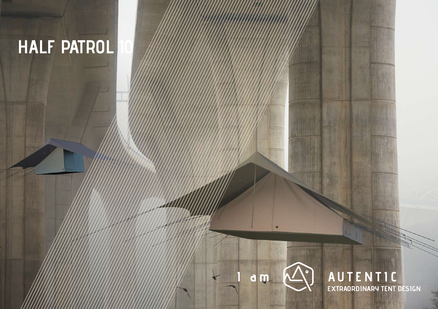# **HALF PATROL**



AUTENTIC<br>EXTRAORDINARY TENT DESIGN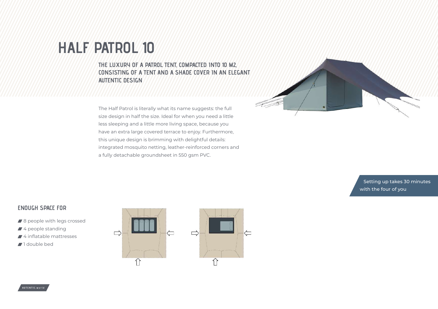### **HALF PATROL 10**

**THE LUXURY OF A PATROL TENT, COMPACTED INTO 10 M2, CONSISTING OF A TENT AND A SHADE COVER IN AN ELEGANT AUTENTIC DESIGN**

The Half Patrol is literally what its name suggests: the full size design in half the size. Ideal for when you need a little less sleeping and a little more living space, because you have an extra large covered terrace to enjoy. Furthermore, this unique design is brimming with delightful details: integrated mosquito netting, leather-reinforced corners and a fully detachable groundsheet in 550 gsm PVC.



Setting up takes 30 minutes with the four of you

#### **ENOUGH SPACE FOR**

- 8 people with legs crossed
- 4 people standing
- 4 inflatable mattresses
- 1 double bed



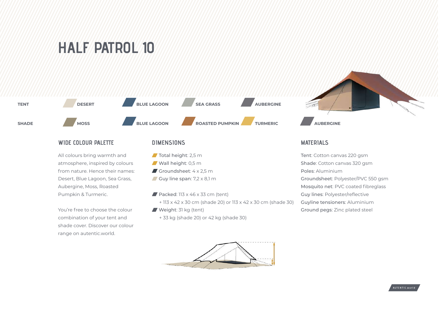## **HALF PATROL 10**



#### **WIDE COLOUR PALETTE**

All colours bring warmth and atmosphere, inspired by colours from nature. Hence their names: Desert, Blue Lagoon, Sea Grass, Aubergine, Moss, Roasted Pumpkin & Turmeric.

You're free to choose the colour combination of your tent and shade cover. Discover our colour range on autentic.world.

#### **DIMENSIONS**

- $\blacksquare$  Total height: 2,5 m
- Wall height: 0,5 m
- Groundsheet: 4 x 2.5 m
- Guy line span:  $7.2 \times 8.1 \text{ m}$
- Packed: 113  $\times$  46  $\times$  33 cm (tent)
	- + 113 x 42 x 30 cm (shade 20) or 113 x 42 x 30 cm (shade 30)
- Weight: 31 kg (tent)
	- + 33 kg (shade 20) or 42 kg (shade 30)



### **MATERIALS**

Tent: Cotton canvas 220 gsm Shade: Cotton canvas 320 gsm Poles: Aluminium Groundsheet: Polyester/PVC 550 gsm Mosquito net: PVC coated fibreglass Guy lines: Polyester/reflective Guyline tensioners: Aluminium Ground pegs: Zinc plated steel